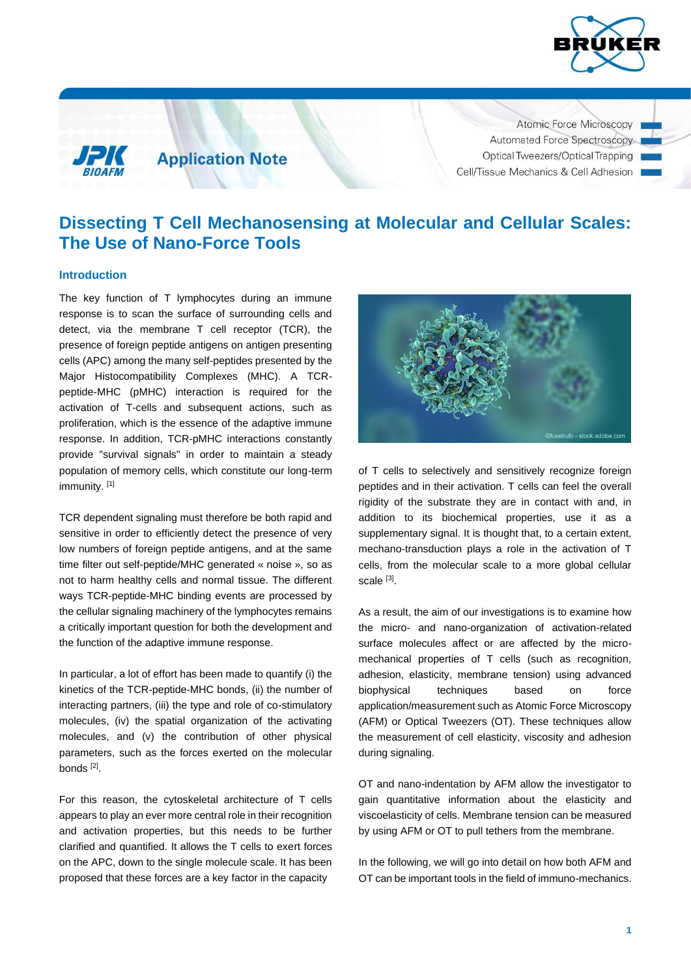



**Application Note** 

Atomic Force Microscopy Automated Force Spectroscopy Optical Tweezers/Optical Trapping Cell/Tissue Mechanics & Cell Adhesion

# **Dissecting T Cell Mechanosensing at Molecular and Cellular Scales: The Use of Nano-Force Tools**

## **Introduction**

The key function of T lymphocytes during an immune response is to scan the surface of surrounding cells and detect, via the membrane T cell receptor (TCR), the presence of foreign peptide antigens on antigen presenting cells (APC) among the many self-peptides presented by the Major Histocompatibility Complexes (MHC). A TCRpeptide-MHC (pMHC) interaction is required for the activation of T-cells and subsequent actions, such as proliferation, which is the essence of the adaptive immune response. In addition, TCR-pMHC interactions constantly provide "survival signals" in order to maintain a steady population of memory cells, which constitute our long-term immunity.<sup>[1]</sup>

TCR dependent signaling must therefore be both rapid and sensitive in order to efficiently detect the presence of very low numbers of foreign peptide antigens, and at the same time filter out self-peptide/MHC generated « noise », so as not to harm healthy cells and normal tissue. The different ways TCR-peptide-MHC binding events are processed by the cellular signaling machinery of the lymphocytes remains a critically important question for both the development and the function of the adaptive immune response.

In particular, a lot of effort has been made to quantify (i) the kinetics of the TCR-peptide-MHC bonds, (ii) the number of interacting partners, (iii) the type and role of co-stimulatory molecules, (iv) the spatial organization of the activating molecules, and (v) the contribution of other physical parameters, such as the forces exerted on the molecular bonds<sup>[2]</sup>.

For this reason, the cytoskeletal architecture of T cells appears to play an ever more central role in their recognition and activation properties, but this needs to be further clarified and quantified. It allows the T cells to exert forces on the APC, down to the single molecule scale. It has been proposed that these forces are a key factor in the capacity



of T cells to selectively and sensitively recognize foreign peptides and in their activation. T cells can feel the overall rigidity of the substrate they are in contact with and, in addition to its biochemical properties, use it as a supplementary signal. It is thought that, to a certain extent, mechano-transduction plays a role in the activation of T cells, from the molecular scale to a more global cellular scale [3].

As a result, the aim of our investigations is to examine how the micro- and nano-organization of activation-related surface molecules affect or are affected by the micromechanical properties of T cells (such as recognition, adhesion, elasticity, membrane tension) using advanced biophysical techniques based on force application/measurement such as Atomic Force Microscopy (AFM) or Optical Tweezers (OT). These techniques allow the measurement of cell elasticity, viscosity and adhesion during signaling.

OT and nano-indentation by AFM allow the investigator to gain quantitative information about the elasticity and viscoelasticity of cells. Membrane tension can be measured by using AFM or OT to pull tethers from the membrane.

In the following, we will go into detail on how both AFM and OT can be important tools in the field of immuno-mechanics.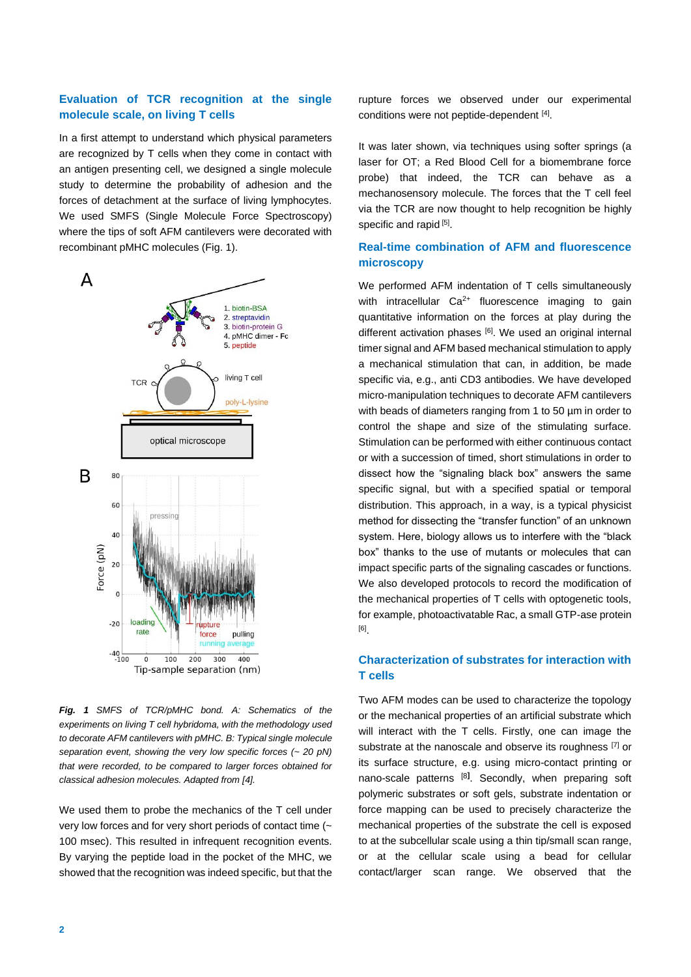# **Evaluation of TCR recognition at the single molecule scale, on living T cells**

In a first attempt to understand which physical parameters are recognized by T cells when they come in contact with an antigen presenting cell, we designed a single molecule study to determine the probability of adhesion and the forces of detachment at the surface of living lymphocytes. We used SMFS (Single Molecule Force Spectroscopy) where the tips of soft AFM cantilevers were decorated with recombinant pMHC molecules (Fig. 1).



*Fig. 1 SMFS of TCR/pMHC bond. A: Schematics of the experiments on living T cell hybridoma, with the methodology used to decorate AFM cantilevers with pMHC. B: Typical single molecule separation event, showing the very low specific forces (~ 20 pN) that were recorded, to be compared to larger forces obtained for classical adhesion molecules. Adapted from [4].*

We used them to probe the mechanics of the T cell under very low forces and for very short periods of contact time (~ 100 msec). This resulted in infrequent recognition events. By varying the peptide load in the pocket of the MHC, we showed that the recognition was indeed specific, but that the rupture forces we observed under our experimental conditions were not peptide-dependent [4].

It was later shown, via techniques using softer springs (a laser for OT; a Red Blood Cell for a biomembrane force probe) that indeed, the TCR can behave as a mechanosensory molecule. The forces that the T cell feel via the TCR are now thought to help recognition be highly specific and rapid [5].

# **Real-time combination of AFM and fluorescence microscopy**

We performed AFM indentation of T cells simultaneously with intracellular  $Ca^{2+}$  fluorescence imaging to gain quantitative information on the forces at play during the different activation phases [6]. We used an original internal timer signal and AFM based mechanical stimulation to apply a mechanical stimulation that can, in addition, be made specific via, e.g., anti CD3 antibodies. We have developed micro-manipulation techniques to decorate AFM cantilevers with beads of diameters ranging from 1 to 50 µm in order to control the shape and size of the stimulating surface. Stimulation can be performed with either continuous contact or with a succession of timed, short stimulations in order to dissect how the "signaling black box" answers the same specific signal, but with a specified spatial or temporal distribution. This approach, in a way, is a typical physicist method for dissecting the "transfer function" of an unknown system. Here, biology allows us to interfere with the "black box" thanks to the use of mutants or molecules that can impact specific parts of the signaling cascades or functions. We also developed protocols to record the modification of the mechanical properties of T cells with optogenetic tools, for example, photoactivatable Rac, a small GTP-ase protein [6] .

## **Characterization of substrates for interaction with T cells**

Two AFM modes can be used to characterize the topology or the mechanical properties of an artificial substrate which will interact with the T cells. Firstly, one can image the substrate at the nanoscale and observe its roughness [7] or its surface structure, e.g. using micro-contact printing or nano-scale patterns [8**]** . Secondly, when preparing soft polymeric substrates or soft gels, substrate indentation or force mapping can be used to precisely characterize the mechanical properties of the substrate the cell is exposed to at the subcellular scale using a thin tip/small scan range, or at the cellular scale using a bead for cellular contact/larger scan range. We observed that the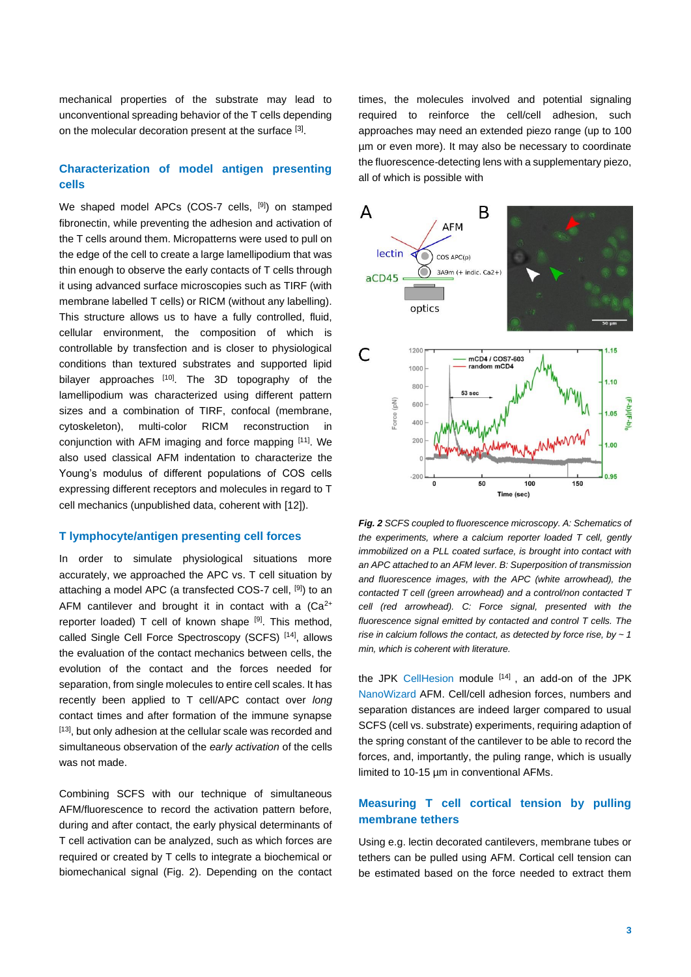mechanical properties of the substrate may lead to unconventional spreading behavior of the T cells depending on the molecular decoration present at the surface [3].

# **Characterization of model antigen presenting cells**

We shaped model APCs (COS-7 cells, <sup>[9]</sup>) on stamped fibronectin, while preventing the adhesion and activation of the T cells around them. Micropatterns were used to pull on the edge of the cell to create a large lamellipodium that was thin enough to observe the early contacts of T cells through it using advanced surface microscopies such as TIRF (with membrane labelled T cells) or RICM (without any labelling). This structure allows us to have a fully controlled, fluid, cellular environment, the composition of which is controllable by transfection and is closer to physiological conditions than textured substrates and supported lipid bilayer approaches [10]. The 3D topography of the lamellipodium was characterized using different pattern sizes and a combination of TIRF, confocal (membrane, cytoskeleton), multi-color RICM reconstruction in conjunction with AFM imaging and force mapping [11]. We also used classical AFM indentation to characterize the Young's modulus of different populations of COS cells expressing different receptors and molecules in regard to T cell mechanics (unpublished data, coherent with [12]).

## **T lymphocyte/antigen presenting cell forces**

In order to simulate physiological situations more accurately, we approached the APC vs. T cell situation by attaching a model APC (a transfected COS-7 cell, [9]) to an AFM cantilever and brought it in contact with a  $(Ca^{2+})$ reporter loaded) T cell of known shape [9]. This method, called Single Cell Force Spectroscopy (SCFS) [14], allows the evaluation of the contact mechanics between cells, the evolution of the contact and the forces needed for separation, from single molecules to entire cell scales. It has recently been applied to T cell/APC contact over *long* contact times and after formation of the immune synapse [13], but only adhesion at the cellular scale was recorded and simultaneous observation of the *early activation* of the cells was not made.

Combining SCFS with our technique of simultaneous AFM/fluorescence to record the activation pattern before, during and after contact, the early physical determinants of T cell activation can be analyzed, such as which forces are required or created by T cells to integrate a biochemical or biomechanical signal (Fig. 2). Depending on the contact times, the molecules involved and potential signaling required to reinforce the cell/cell adhesion, such approaches may need an extended piezo range (up to 100 µm or even more). It may also be necessary to coordinate the fluorescence-detecting lens with a supplementary piezo, all of which is possible with



*Fig. 2 SCFS coupled to fluorescence microscopy. A: Schematics of the experiments, where a calcium reporter loaded T cell, gently immobilized on a PLL coated surface, is brought into contact with an APC attached to an AFM lever. B: Superposition of transmission and fluorescence images, with the APC (white arrowhead), the contacted T cell (green arrowhead) and a control/non contacted T cell (red arrowhead). C: Force signal, presented with the fluorescence signal emitted by contacted and control T cells. The rise in calcium follows the contact, as detected by force rise, by ~ 1 min, which is coherent with literature.*

the JPK [CellHesion](https://www.jpk.com/products/cell-tissue-mechanics-and-adhesion) module [14], an add-on of the JPK [NanoWizard](https://www.jpk.com/products/atomic-force-microscopy/nanowizard-4-xp-bioafm/accessories/cytosurge-fluidfm) AFM. Cell/cell adhesion forces, numbers and separation distances are indeed larger compared to usual SCFS (cell vs. substrate) experiments, requiring adaption of the spring constant of the cantilever to be able to record the forces, and, importantly, the puling range, which is usually limited to 10-15 µm in conventional AFMs.

## **Measuring T cell cortical tension by pulling membrane tethers**

Using e.g. lectin decorated cantilevers, membrane tubes or tethers can be pulled using AFM. Cortical cell tension can be estimated based on the force needed to extract them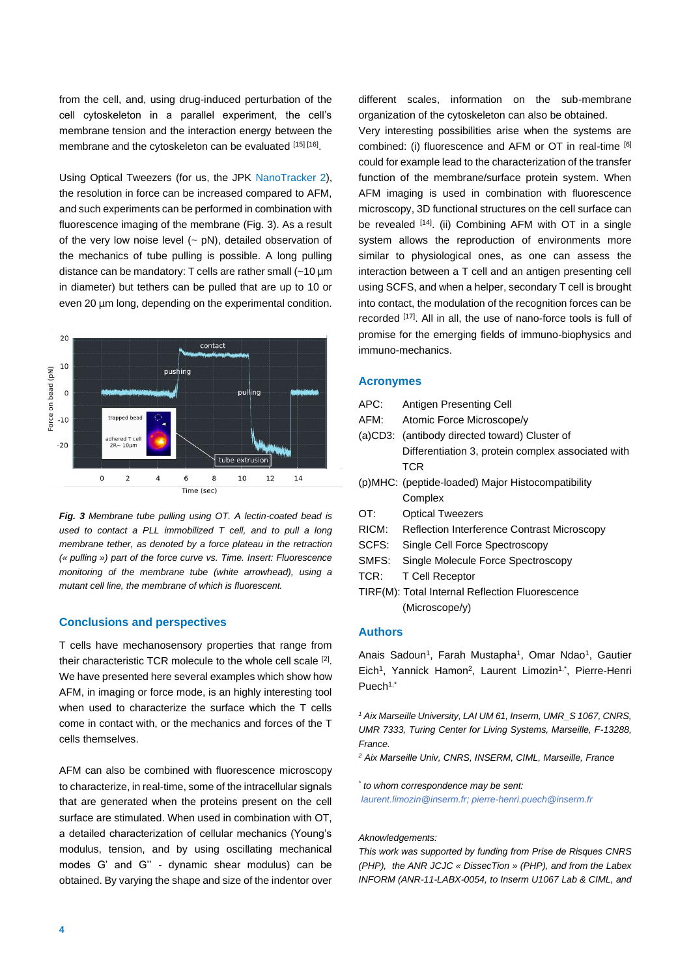from the cell, and, using drug-induced perturbation of the cell cytoskeleton in a parallel experiment, the cell's membrane tension and the interaction energy between the membrane and the cytoskeleton can be evaluated [15] [16].

Using Optical Tweezers (for us, the JPK [NanoTracker 2\)](https://www.jpk.com/products/force-sensing-optical-tweezers-and-optical-trapping/nanotracker-2), the resolution in force can be increased compared to AFM, and such experiments can be performed in combination with fluorescence imaging of the membrane (Fig. 3). As a result of the very low noise level  $(-pN)$ , detailed observation of the mechanics of tube pulling is possible. A long pulling distance can be mandatory: T cells are rather small (~10 µm in diameter) but tethers can be pulled that are up to 10 or even 20 µm long, depending on the experimental condition.



*Fig. 3 Membrane tube pulling using OT. A lectin-coated bead is used to contact a PLL immobilized T cell, and to pull a long membrane tether, as denoted by a force plateau in the retraction (« pulling ») part of the force curve vs. Time. Insert: Fluorescence monitoring of the membrane tube (white arrowhead), using a mutant cell line, the membrane of which is fluorescent.*

## **Conclusions and perspectives**

T cells have mechanosensory properties that range from their characteristic TCR molecule to the whole cell scale [2]. We have presented here several examples which show how AFM, in imaging or force mode, is an highly interesting tool when used to characterize the surface which the T cells come in contact with, or the mechanics and forces of the T cells themselves.

AFM can also be combined with fluorescence microscopy to characterize, in real-time, some of the intracellular signals that are generated when the proteins present on the cell surface are stimulated. When used in combination with OT, a detailed characterization of cellular mechanics (Young's modulus, tension, and by using oscillating mechanical modes G' and G'' - dynamic shear modulus) can be obtained. By varying the shape and size of the indentor over different scales, information on the sub-membrane organization of the cytoskeleton can also be obtained.

Very interesting possibilities arise when the systems are combined: (i) fluorescence and AFM or OT in real-time [6] could for example lead to the characterization of the transfer function of the membrane/surface protein system. When AFM imaging is used in combination with fluorescence microscopy, 3D functional structures on the cell surface can be revealed [14]. (ii) Combining AFM with OT in a single system allows the reproduction of environments more similar to physiological ones, as one can assess the interaction between a T cell and an antigen presenting cell using SCFS, and when a helper, secondary T cell is brought into contact, the modulation of the recognition forces can be recorded [17]. All in all, the use of nano-force tools is full of promise for the emerging fields of immuno-biophysics and immuno-mechanics.

## **Acronymes**

- APC: Antigen Presenting Cell AFM: Atomic Force Microscope/y (a)CD3: (antibody directed toward) Cluster of Differentiation 3, protein complex associated with **TCR** (p)MHC: (peptide-loaded) Major Histocompatibility **Complex** OT: Optical Tweezers RICM: Reflection Interference Contrast Microscopy
- SCFS: Single Cell Force Spectroscopy
- SMFS: Single Molecule Force Spectroscopy
- TCR: T Cell Receptor
- TIRF(M): Total Internal Reflection Fluorescence (Microscope/y)

## **Authors**

Anais Sadoun<sup>1</sup>, Farah Mustapha<sup>1</sup>, Omar Ndao<sup>1</sup>, Gautier Eich<sup>1</sup>, Yannick Hamon<sup>2</sup>, Laurent Limozin<sup>1,\*</sup>, Pierre-Henri Puech<sup>1,\*</sup>

*<sup>1</sup> Aix Marseille University, LAI UM 61, Inserm, UMR\_S 1067, CNRS, UMR 7333, Turing Center for Living Systems, Marseille, F-13288, France.*

*<sup>2</sup> Aix Marseille Univ, CNRS, INSERM, CIML, Marseille, France*

*\* to whom correspondence may be sent: [laurent.limozin@inserm.fr;](mailto:laurent.limozin@inserm.fr) [pierre-henri.puech@inserm.fr](mailto:pierre-henri.puech@inserm.fr)*

#### *Aknowledgements:*

*This work was supported by funding from Prise de Risques CNRS (PHP), the ANR JCJC « DissecTion » (PHP), and from the Labex INFORM (ANR-11-LABX-0054, to Inserm U1067 Lab & CIML, and*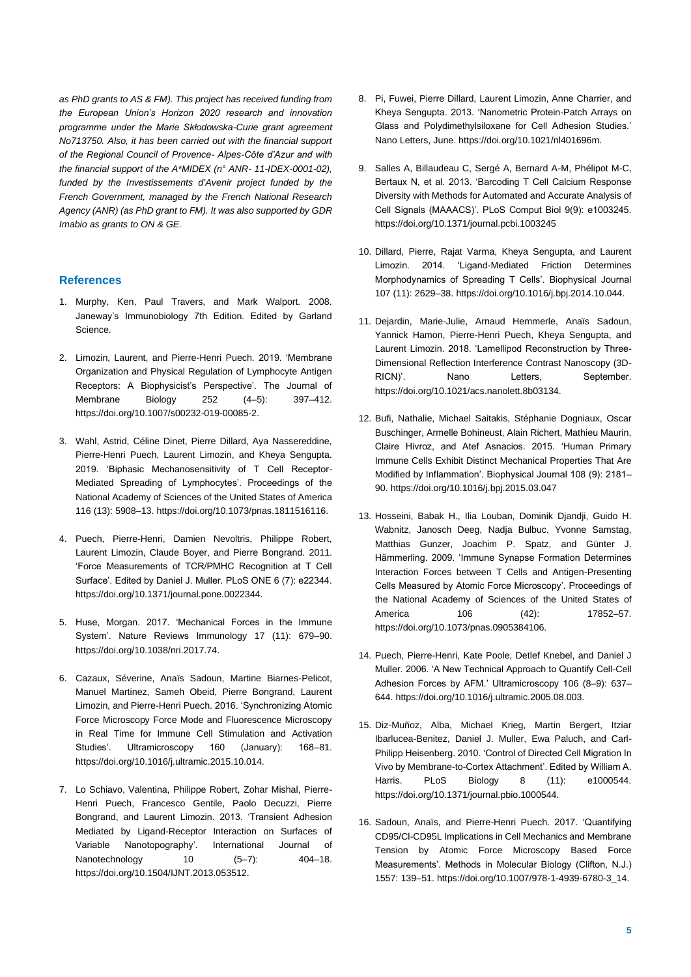*as PhD grants to AS & FM). This project has received funding from the European Union's Horizon 2020 research and innovation programme under the Marie Skłodowska-Curie grant agreement No713750. Also, it has been carried out with the financial support of the Regional Council of Provence- Alpes-Côte d'Azur and with the financial support of the A\*MIDEX (n° ANR- 11-IDEX-0001-02), funded by the Investissements d'Avenir project funded by the French Government, managed by the French National Research Agency (ANR) (as PhD grant to FM). It was also supported by GDR Imabio as grants to ON & GE.* 

## **References**

- 1. Murphy, Ken, Paul Travers, and Mark Walport. 2008. Janeway's Immunobiology 7th Edition. Edited by Garland Science.
- 2. Limozin, Laurent, and Pierre-Henri Puech. 2019. 'Membrane Organization and Physical Regulation of Lymphocyte Antigen Receptors: A Biophysicist's Perspective'. The Journal of Membrane Biology 252 (4–5): 397–412. https://doi.org/10.1007/s00232-019-00085-2.
- 3. Wahl, Astrid, Céline Dinet, Pierre Dillard, Aya Nassereddine, Pierre-Henri Puech, Laurent Limozin, and Kheya Sengupta. 2019. 'Biphasic Mechanosensitivity of T Cell Receptor-Mediated Spreading of Lymphocytes'. Proceedings of the National Academy of Sciences of the United States of America 116 (13): 5908–13. https://doi.org/10.1073/pnas.1811516116.
- 4. Puech, Pierre-Henri, Damien Nevoltris, Philippe Robert, Laurent Limozin, Claude Boyer, and Pierre Bongrand. 2011. 'Force Measurements of TCR/PMHC Recognition at T Cell Surface'. Edited by Daniel J. Muller. PLoS ONE 6 (7): e22344. https://doi.org/10.1371/journal.pone.0022344.
- 5. Huse, Morgan. 2017. 'Mechanical Forces in the Immune System'. Nature Reviews Immunology 17 (11): 679–90. [https://doi.org/10.1038/nri.2017.74.](https://doi.org/10.1038/nri.2017.74)
- 6. Cazaux, Séverine, Anaïs Sadoun, Martine Biarnes-Pelicot, Manuel Martinez, Sameh Obeid, Pierre Bongrand, Laurent Limozin, and Pierre-Henri Puech. 2016. 'Synchronizing Atomic Force Microscopy Force Mode and Fluorescence Microscopy in Real Time for Immune Cell Stimulation and Activation Studies'. Ultramicroscopy 160 (January): 168–81. https://doi.org/10.1016/j.ultramic.2015.10.014.
- 7. Lo Schiavo, Valentina, Philippe Robert, Zohar Mishal, Pierre-Henri Puech, Francesco Gentile, Paolo Decuzzi, Pierre Bongrand, and Laurent Limozin. 2013. 'Transient Adhesion Mediated by Ligand-Receptor Interaction on Surfaces of Variable Nanotopography'. International Journal of Nanotechnology 10 (5–7): 404–18. https://doi.org/10.1504/IJNT.2013.053512.
- 8. Pi, Fuwei, Pierre Dillard, Laurent Limozin, Anne Charrier, and Kheya Sengupta. 2013. 'Nanometric Protein-Patch Arrays on Glass and Polydimethylsiloxane for Cell Adhesion Studies.' Nano Letters, June. https://doi.org/10.1021/nl401696m.
- 9. Salles A, Billaudeau C, Sergé A, Bernard A-M, Phélipot M-C, Bertaux N, et al. 2013. 'Barcoding T Cell Calcium Response Diversity with Methods for Automated and Accurate Analysis of Cell Signals (MAAACS)'. PLoS Comput Biol 9(9): e1003245. https://doi.org/10.1371/journal.pcbi.1003245
- 10. Dillard, Pierre, Rajat Varma, Kheya Sengupta, and Laurent Limozin. 2014. 'Ligand-Mediated Friction Determines Morphodynamics of Spreading T Cells'. Biophysical Journal 107 (11): 2629–38. https://doi.org/10.1016/j.bpj.2014.10.044.
- 11. Dejardin, Marie-Julie, Arnaud Hemmerle, Anaïs Sadoun, Yannick Hamon, Pierre-Henri Puech, Kheya Sengupta, and Laurent Limozin. 2018. 'Lamellipod Reconstruction by Three-Dimensional Reflection Interference Contrast Nanoscopy (3D-RICN)'. Nano Letters, September. https://doi.org/10.1021/acs.nanolett.8b03134.
- 12. Bufi, Nathalie, Michael Saitakis, Stéphanie Dogniaux, Oscar Buschinger, Armelle Bohineust, Alain Richert, Mathieu Maurin, Claire Hivroz, and Atef Asnacios. 2015. 'Human Primary Immune Cells Exhibit Distinct Mechanical Properties That Are Modified by Inflammation'. Biophysical Journal 108 (9): 2181– 90[. https://doi.org/10.1016/j.bpj.2015.03.047](https://doi.org/10.1016/j.bpj.2015.03.047)
- 13. Hosseini, Babak H., Ilia Louban, Dominik Djandji, Guido H. Wabnitz, Janosch Deeg, Nadja Bulbuc, Yvonne Samstag, Matthias Gunzer, Joachim P. Spatz, and Günter J. Hämmerling. 2009. 'Immune Synapse Formation Determines Interaction Forces between T Cells and Antigen-Presenting Cells Measured by Atomic Force Microscopy'. Proceedings of the National Academy of Sciences of the United States of America 106 (42): 17852–57. https://doi.org/10.1073/pnas.0905384106.
- 14. Puech, Pierre-Henri, Kate Poole, Detlef Knebel, and Daniel J Muller. 2006. 'A New Technical Approach to Quantify Cell-Cell Adhesion Forces by AFM.' Ultramicroscopy 106 (8–9): 637– 644. https://doi.org/10.1016/j.ultramic.2005.08.003.
- 15. Diz-Muñoz, Alba, Michael Krieg, Martin Bergert, Itziar Ibarlucea-Benitez, Daniel J. Muller, Ewa Paluch, and Carl-Philipp Heisenberg. 2010. 'Control of Directed Cell Migration In Vivo by Membrane-to-Cortex Attachment'. Edited by William A. Harris. PLoS Biology 8 (11): e1000544. https://doi.org/10.1371/journal.pbio.1000544.
- 16. Sadoun, Anaïs, and Pierre-Henri Puech. 2017. 'Quantifying CD95/Cl-CD95L Implications in Cell Mechanics and Membrane Tension by Atomic Force Microscopy Based Force Measurements'. Methods in Molecular Biology (Clifton, N.J.) 1557: 139–51. https://doi.org/10.1007/978-1-4939-6780-3\_14.